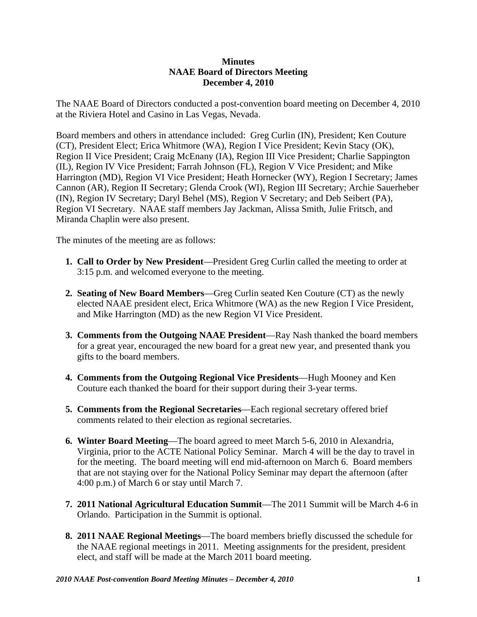## **Minutes NAAE Board of Directors Meeting December 4, 2010**

The NAAE Board of Directors conducted a post-convention board meeting on December 4, 2010 at the Riviera Hotel and Casino in Las Vegas, Nevada.

Board members and others in attendance included: Greg Curlin (IN), President; Ken Couture (CT), President Elect; Erica Whitmore (WA), Region I Vice President; Kevin Stacy (OK), Region II Vice President; Craig McEnany (IA), Region III Vice President; Charlie Sappington (IL), Region IV Vice President; Farrah Johnson (FL), Region V Vice President; and Mike Harrington (MD), Region VI Vice President; Heath Hornecker (WY), Region I Secretary; James Cannon (AR), Region II Secretary; Glenda Crook (WI), Region III Secretary; Archie Sauerheber (IN), Region IV Secretary; Daryl Behel (MS), Region V Secretary; and Deb Seibert (PA), Region VI Secretary. NAAE staff members Jay Jackman, Alissa Smith, Julie Fritsch, and Miranda Chaplin were also present.

The minutes of the meeting are as follows:

- **1. Call to Order by New President**—President Greg Curlin called the meeting to order at 3:15 p.m. and welcomed everyone to the meeting.
- **2. Seating of New Board Members**—Greg Curlin seated Ken Couture (CT) as the newly elected NAAE president elect, Erica Whitmore (WA) as the new Region I Vice President, and Mike Harrington (MD) as the new Region VI Vice President.
- **3. Comments from the Outgoing NAAE President**—Ray Nash thanked the board members for a great year, encouraged the new board for a great new year, and presented thank you gifts to the board members.
- **4. Comments from the Outgoing Regional Vice Presidents**—Hugh Mooney and Ken Couture each thanked the board for their support during their 3-year terms.
- **5. Comments from the Regional Secretaries**—Each regional secretary offered brief comments related to their election as regional secretaries.
- **6. Winter Board Meeting**—The board agreed to meet March 5-6, 2010 in Alexandria, Virginia, prior to the ACTE National Policy Seminar. March 4 will be the day to travel in for the meeting. The board meeting will end mid-afternoon on March 6. Board members that are not staying over for the National Policy Seminar may depart the afternoon (after 4:00 p.m.) of March 6 or stay until March 7.
- **7. 2011 National Agricultural Education Summit**—The 2011 Summit will be March 4-6 in Orlando. Participation in the Summit is optional.
- **8. 2011 NAAE Regional Meetings**—The board members briefly discussed the schedule for the NAAE regional meetings in 2011. Meeting assignments for the president, president elect, and staff will be made at the March 2011 board meeting.